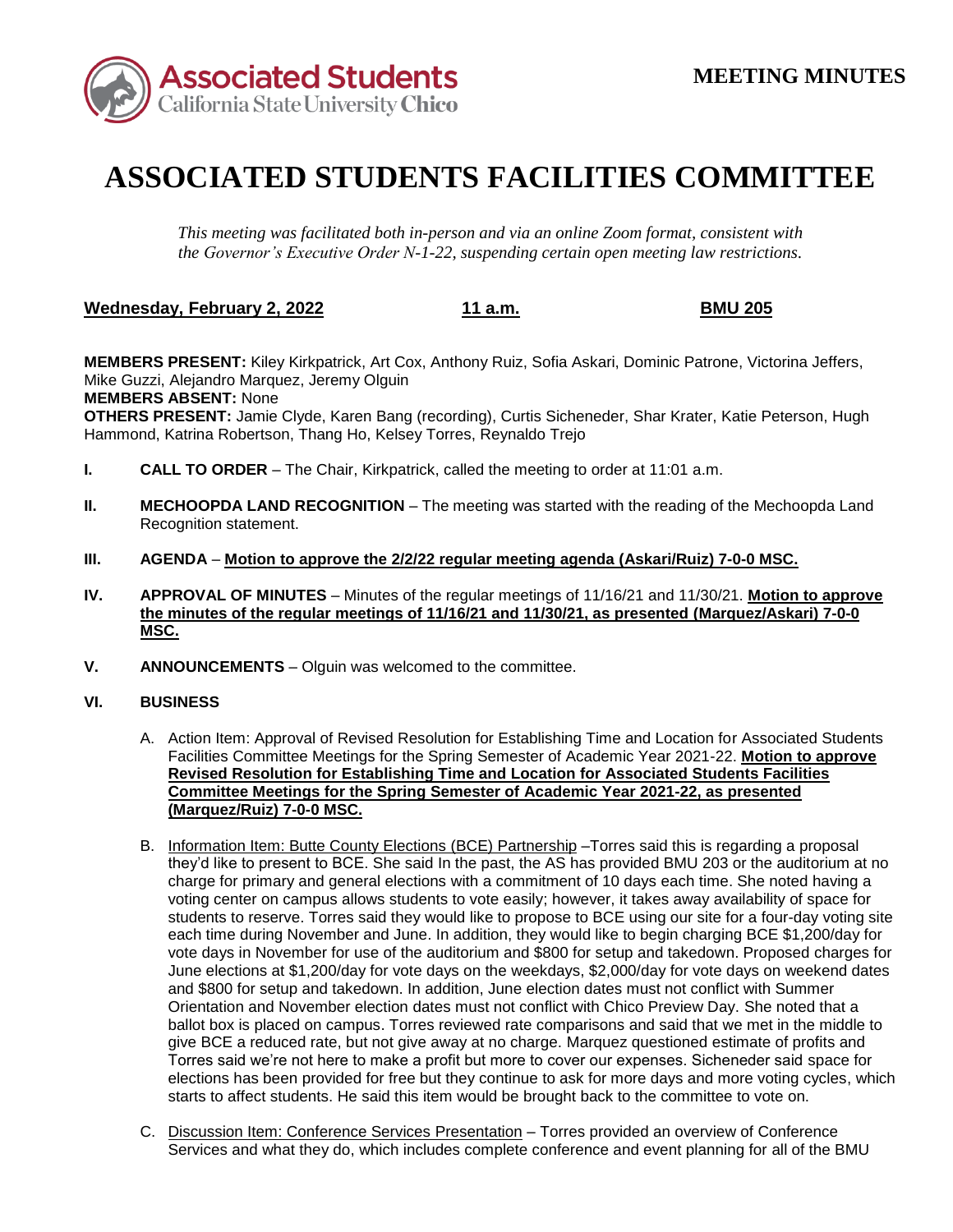

## **ASSOCIATED STUDENTS FACILITIES COMMITTEE**

*This meeting was facilitated both in-person and via an online Zoom format, consistent with the Governor's Executive Order N-1-22, suspending certain open meeting law restrictions.* 

## <u>**Wednesday, February 2, 2022** 11 a.m.</u> BMU 205

**MEMBERS PRESENT:** Kiley Kirkpatrick, Art Cox, Anthony Ruiz, Sofia Askari, Dominic Patrone, Victorina Jeffers, Mike Guzzi, Alejandro Marquez, Jeremy Olguin **MEMBERS ABSENT:** None

**OTHERS PRESENT:** Jamie Clyde, Karen Bang (recording), Curtis Sicheneder, Shar Krater, Katie Peterson, Hugh Hammond, Katrina Robertson, Thang Ho, Kelsey Torres, Reynaldo Trejo

- **I. CALL TO ORDER**  The Chair, Kirkpatrick, called the meeting to order at 11:01 a.m.
- **II. MECHOOPDA LAND RECOGNITION** The meeting was started with the reading of the Mechoopda Land Recognition statement.
- **III. AGENDA Motion to approve the 2/2/22 regular meeting agenda (Askari/Ruiz) 7-0-0 MSC.**
- **IV. APPROVAL OF MINUTES**  Minutes of the regular meetings of 11/16/21 and 11/30/21. **Motion to approve the minutes of the regular meetings of 11/16/21 and 11/30/21, as presented (Marquez/Askari) 7-0-0 MSC.**
- **V. ANNOUNCEMENTS**  Olguin was welcomed to the committee.

## **VI. BUSINESS**

- A. Action Item: Approval of Revised Resolution for Establishing Time and Location for Associated Students Facilities Committee Meetings for the Spring Semester of Academic Year 2021-22. **Motion to approve Revised Resolution for Establishing Time and Location for Associated Students Facilities Committee Meetings for the Spring Semester of Academic Year 2021-22, as presented (Marquez/Ruiz) 7-0-0 MSC.**
- B. Information Item: Butte County Elections (BCE) Partnership Torres said this is regarding a proposal charge for primary and general elections with a commitment of 10 days each time. She noted having a voting center on campus allows students to vote easily; however, it takes away availability of space for give BCE a reduced rate, but not give away at no charge. Marquez questioned estimate of profits and they'd like to present to BCE. She said In the past, the AS has provided BMU 203 or the auditorium at no students to reserve. Torres said they would like to propose to BCE using our site for a four-day voting site each time during November and June. In addition, they would like to begin charging BCE \$1,200/day for vote days in November for use of the auditorium and \$800 for setup and takedown. Proposed charges for June elections at \$1,200/day for vote days on the weekdays, \$2,000/day for vote days on weekend dates and \$800 for setup and takedown. In addition, June election dates must not conflict with Summer Orientation and November election dates must not conflict with Chico Preview Day. She noted that a ballot box is placed on campus. Torres reviewed rate comparisons and said that we met in the middle to Torres said we're not here to make a profit but more to cover our expenses. Sicheneder said space for elections has been provided for free but they continue to ask for more days and more voting cycles, which starts to affect students. He said this item would be brought back to the committee to vote on.
- C. Discussion Item: Conference Services Presentation Torres provided an overview of Conference Services and what they do, which includes complete conference and event planning for all of the BMU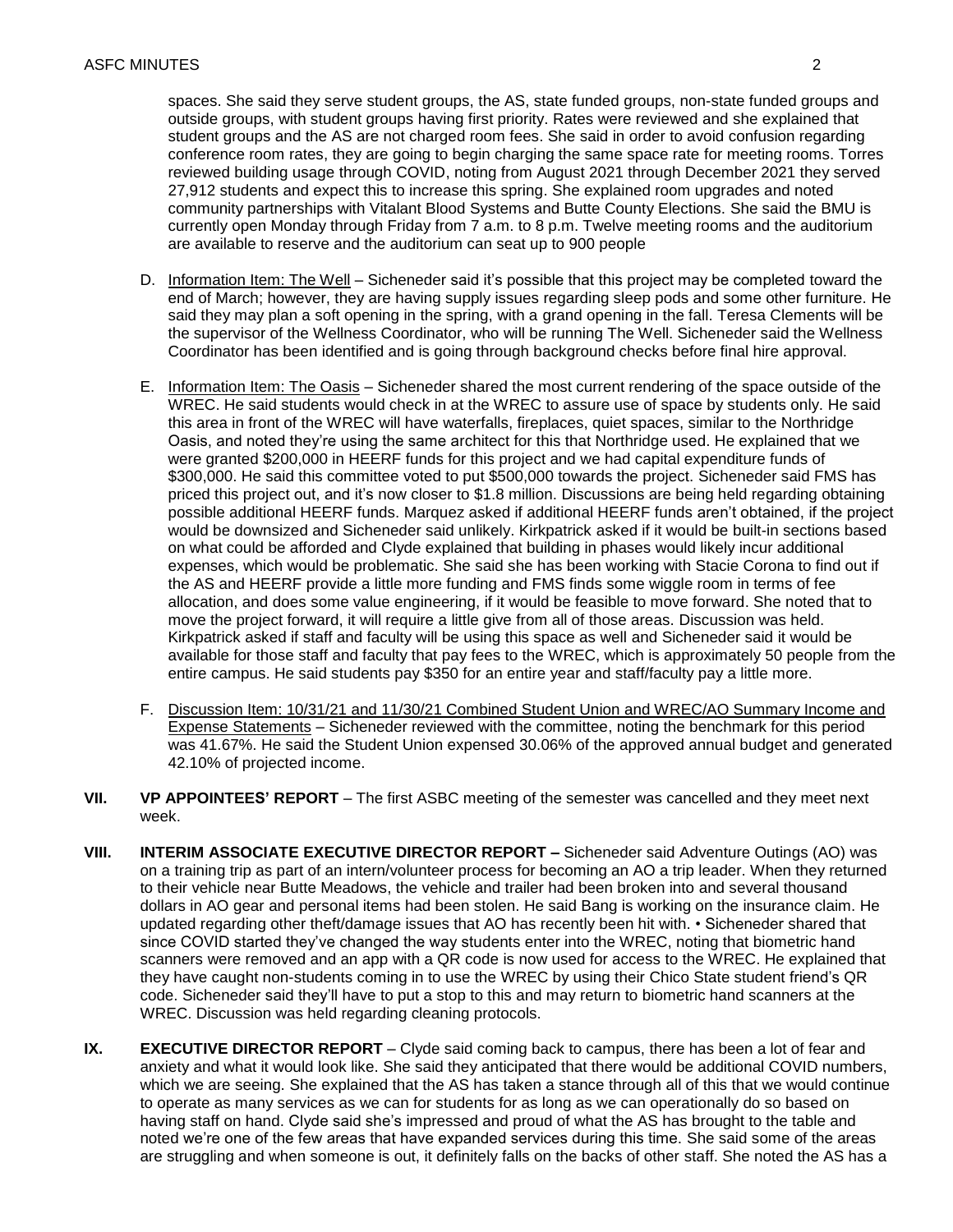conference room rates, they are going to begin charging the same space rate for meeting rooms. Torres community partnerships with Vitalant Blood Systems and Butte County Elections. She said the BMU is spaces. She said they serve student groups, the AS, state funded groups, non-state funded groups and outside groups, with student groups having first priority. Rates were reviewed and she explained that student groups and the AS are not charged room fees. She said in order to avoid confusion regarding reviewed building usage through COVID, noting from August 2021 through December 2021 they served 27,912 students and expect this to increase this spring. She explained room upgrades and noted currently open Monday through Friday from 7 a.m. to 8 p.m. Twelve meeting rooms and the auditorium are available to reserve and the auditorium can seat up to 900 people

- D. Information Item: The Well Sicheneder said it's possible that this project may be completed toward the end of March; however, they are having supply issues regarding sleep pods and some other furniture. He said they may plan a soft opening in the spring, with a grand opening in the fall. Teresa Clements will be the supervisor of the Wellness Coordinator, who will be running The Well. Sicheneder said the Wellness Coordinator has been identified and is going through background checks before final hire approval.
- on what could be afforded and Clyde explained that building in phases would likely incur additional expenses, which would be problematic. She said she has been working with Stacie Corona to find out if the AS and HEERF provide a little more funding and FMS finds some wiggle room in terms of fee Kirkpatrick asked if staff and faculty will be using this space as well and Sicheneder said it would be E. Information Item: The Oasis – Sicheneder shared the most current rendering of the space outside of the WREC. He said students would check in at the WREC to assure use of space by students only. He said this area in front of the WREC will have waterfalls, fireplaces, quiet spaces, similar to the Northridge Oasis, and noted they're using the same architect for this that Northridge used. He explained that we were granted \$200,000 in HEERF funds for this project and we had capital expenditure funds of \$300,000. He said this committee voted to put \$500,000 towards the project. Sicheneder said FMS has priced this project out, and it's now closer to \$1.8 million. Discussions are being held regarding obtaining possible additional HEERF funds. Marquez asked if additional HEERF funds aren't obtained, if the project would be downsized and Sicheneder said unlikely. Kirkpatrick asked if it would be built-in sections based allocation, and does some value engineering, if it would be feasible to move forward. She noted that to move the project forward, it will require a little give from all of those areas. Discussion was held. available for those staff and faculty that pay fees to the WREC, which is approximately 50 people from the entire campus. He said students pay \$350 for an entire year and staff/faculty pay a little more.
- F. Discussion Item: 10/31/21 and 11/30/21 Combined Student Union and WREC/AO Summary Income and Expense Statements – Sicheneder reviewed with the committee, noting the benchmark for this period was 41.67%. He said the Student Union expensed 30.06% of the approved annual budget and generated 42.10% of projected income.
- **VII. VP APPOINTEES' REPORT**  The first ASBC meeting of the semester was cancelled and they meet next week.
- updated regarding other theft/damage issues that AO has recently been hit with. Sicheneder shared that since COVID started they've changed the way students enter into the WREC, noting that biometric hand code. Sicheneder said they'll have to put a stop to this and may return to biometric hand scanners at the **VIII. INTERIM ASSOCIATE EXECUTIVE DIRECTOR REPORT –** Sicheneder said Adventure Outings (AO) was on a training trip as part of an intern/volunteer process for becoming an AO a trip leader. When they returned to their vehicle near Butte Meadows, the vehicle and trailer had been broken into and several thousand dollars in AO gear and personal items had been stolen. He said Bang is working on the insurance claim. He scanners were removed and an app with a QR code is now used for access to the WREC. He explained that they have caught non-students coming in to use the WREC by using their Chico State student friend's QR WREC. Discussion was held regarding cleaning protocols.
- to operate as many services as we can for students for as long as we can operationally do so based on having staff on hand. Clyde said she's impressed and proud of what the AS has brought to the table and noted we're one of the few areas that have expanded services during this time. She said some of the areas **IX. EXECUTIVE DIRECTOR REPORT** – Clyde said coming back to campus, there has been a lot of fear and anxiety and what it would look like. She said they anticipated that there would be additional COVID numbers, which we are seeing. She explained that the AS has taken a stance through all of this that we would continue are struggling and when someone is out, it definitely falls on the backs of other staff. She noted the AS has a